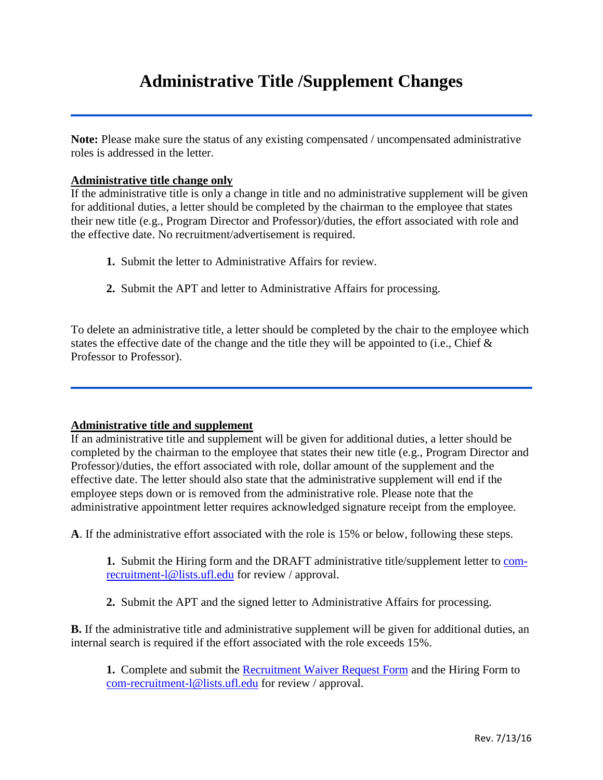## **Administrative Title /Supplement Changes**

Note: Please make sure the status of any existing compensated / uncompensated administrative roles is addressed in the letter.

## **Administrative title change only**

If the administrative title is only a change in title and no administrative supplement will be given for additional duties, a letter should be completed by the chairman to the employee that states their new title (e.g., Program Director and Professor)/duties, the effort associated with role and the effective date. No recruitment/advertisement is required.

- **1.** Submit the letter to Administrative Affairs for review.
- **2.** Submit the APT and letter to Administrative Affairs for processing.

To delete an administrative title, a letter should be completed by the chair to the employee which states the effective date of the change and the title they will be appointed to (i.e., Chief  $\&$ Professor to Professor).

## **Administrative title and supplement**

If an administrative title and supplement will be given for additional duties, a letter should be completed by the chairman to the employee that states their new title (e.g., Program Director and Professor)/duties, the effort associated with role, dollar amount of the supplement and the effective date. The letter should also state that the administrative supplement will end if the employee steps down or is removed from the administrative role. Please note that the administrative appointment letter requires acknowledged signature receipt from the employee.

**A**. If the administrative effort associated with the role is 15% or below, following these steps.

**1.** Submit the Hiring form and the DRAFT administrative title/supplement letter to [com](mailto:com-recruitment-l@lists.ufl.edu)[recruitment-l@lists.ufl.edu](mailto:com-recruitment-l@lists.ufl.edu) for review / approval.

**2.** Submit the APT and the signed letter to Administrative Affairs for processing.

**B.** If the administrative title and administrative supplement will be given for additional duties, an internal search is required if the effort associated with the role exceeds 15%.

**1.** Complete and submit the [Recruitment Waiver Request Form](http://www.aa.ufl.edu/Data/Sites/18/media/documents/current-procedures-and-form---rev-june-2013.pdf) and the Hiring Form to [com-recruitment-l@lists.ufl.edu](mailto:com-recruitment-l@lists.ufl.edu) for review / approval.